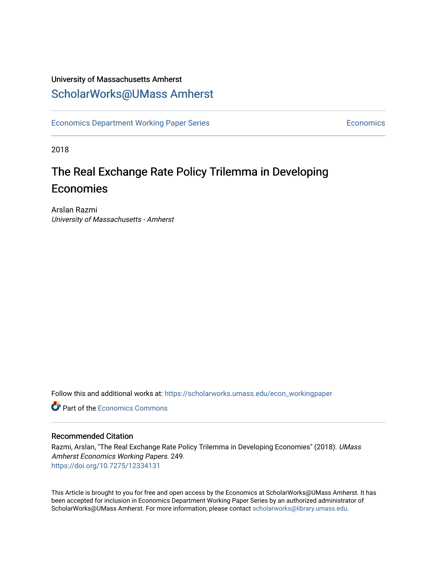## University of Massachusetts Amherst [ScholarWorks@UMass Amherst](https://scholarworks.umass.edu/)

[Economics Department Working Paper Series](https://scholarworks.umass.edu/econ_workingpaper) **Economics** Economics

2018

# The Real Exchange Rate Policy Trilemma in Developing Economies

Arslan Razmi University of Massachusetts - Amherst

Follow this and additional works at: [https://scholarworks.umass.edu/econ\\_workingpaper](https://scholarworks.umass.edu/econ_workingpaper?utm_source=scholarworks.umass.edu%2Fecon_workingpaper%2F249&utm_medium=PDF&utm_campaign=PDFCoverPages) 

**C** Part of the [Economics Commons](http://network.bepress.com/hgg/discipline/340?utm_source=scholarworks.umass.edu%2Fecon_workingpaper%2F249&utm_medium=PDF&utm_campaign=PDFCoverPages)

### Recommended Citation

Razmi, Arslan, "The Real Exchange Rate Policy Trilemma in Developing Economies" (2018). UMass Amherst Economics Working Papers. 249. <https://doi.org/10.7275/12334131>

This Article is brought to you for free and open access by the Economics at ScholarWorks@UMass Amherst. It has been accepted for inclusion in Economics Department Working Paper Series by an authorized administrator of ScholarWorks@UMass Amherst. For more information, please contact [scholarworks@library.umass.edu.](mailto:scholarworks@library.umass.edu)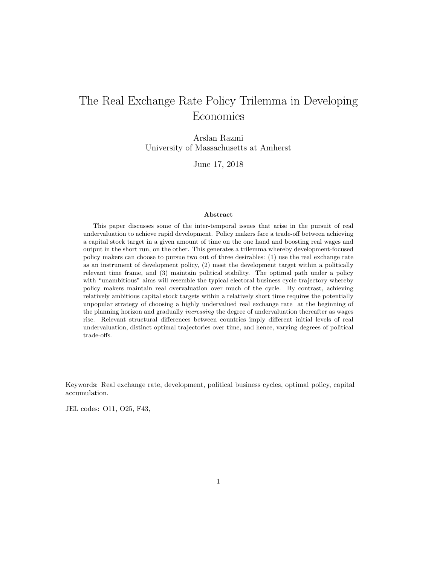## The Real Exchange Rate Policy Trilemma in Developing Economies

Arslan Razmi University of Massachusetts at Amherst

June 17, 2018

#### Abstract

This paper discusses some of the inter-temporal issues that arise in the pursuit of real undervaluation to achieve rapid development. Policy makers face a trade-off between achieving a capital stock target in a given amount of time on the one hand and boosting real wages and output in the short run, on the other. This generates a trilemma whereby development-focused policy makers can choose to pursue two out of three desirables: (1) use the real exchange rate as an instrument of development policy, (2) meet the development target within a politically relevant time frame, and (3) maintain political stability. The optimal path under a policy with "unambitious" aims will resemble the typical electoral business cycle trajectory whereby policy makers maintain real overvaluation over much of the cycle. By contrast, achieving relatively ambitious capital stock targets within a relatively short time requires the potentially unpopular strategy of choosing a highly undervalued real exchange rate at the beginning of the planning horizon and gradually increasing the degree of undervaluation thereafter as wages rise. Relevant structural differences between countries imply different initial levels of real undervaluation, distinct optimal trajectories over time, and hence, varying degrees of political trade-offs.

Keywords: Real exchange rate, development, political business cycles, optimal policy, capital accumulation.

JEL codes: O11, O25, F43,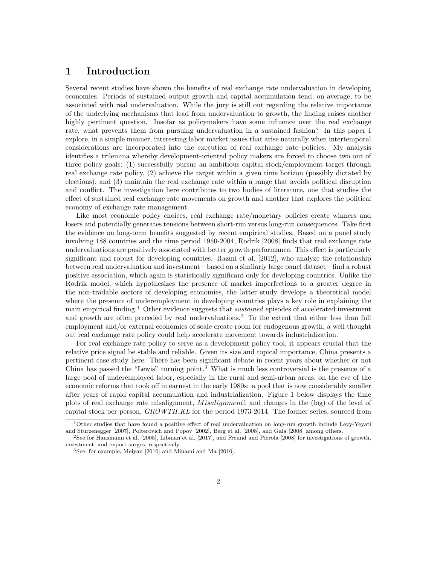### 1 Introduction

Several recent studies have shown the benefits of real exchange rate undervaluation in developing economies. Periods of sustained output growth and capital accumulation tend, on average, to be associated with real undervaluation. While the jury is still out regarding the relative importance of the underlying mechanisms that lead from undervaluation to growth, the finding raises another highly pertinent question. Insofar as policymakers have some influence over the real exchange rate, what prevents them from pursuing undervaluation in a sustained fashion? In this paper I explore, in a simple manner, interesting labor market issues that arise naturally when intertemporal considerations are incorporated into the execution of real exchange rate policies. My analysis identifies a trilemma whereby development-oriented policy makers are forced to choose two out of three policy goals: (1) successfully pursue an ambitious capital stock/employment target through real exchange rate policy, (2) achieve the target within a given time horizon (possibly dictated by elections), and (3) maintain the real exchange rate within a range that avoids political disruption and conflict. The investigation here contributes to two bodies of literature, one that studies the effect of sustained real exchange rate movements on growth and another that explores the political economy of exchange rate management.

Like most economic policy choices, real exchange rate/monetary policies create winners and losers and potentially generates tensions between short-run versus long-run consequences. Take first the evidence on long-term benefits suggested by recent empirical studies. Based on a panel study involving 188 countries and the time period 1950-2004, Rodrik [2008] finds that real exchange rate undervaluations are positively associated with better growth performance. This effect is particularly significant and robust for developing countries. Razmi et al. [2012], who analyze the relationship between real undervaluation and investment – based on a similarly large panel dataset – find a robust positive association, which again is statistically significant only for developing countries. Unlike the Rodrik model, which hypothesizes the presence of market imperfections to a greater degree in the non-tradable sectors of developing economies, the latter study develops a theoretical model where the presence of underemployment in developing countries plays a key role in explaining the main empirical finding.<sup>1</sup> Other evidence suggests that *sustained* episodes of accelerated investment and growth are often preceded by real undervaluations.<sup>2</sup> To the extent that either less than full employment and/or external economies of scale create room for endogenous growth, a well thought out real exchange rate policy could help accelerate movement towards industrialization.

For real exchange rate policy to serve as a development policy tool, it appears crucial that the relative price signal be stable and reliable. Given its size and topical importance, China presents a pertinent case study here. There has been significant debate in recent years about whether or not China has passed the "Lewis" turning point.<sup>3</sup> What is much less controversial is the presence of a large pool of underemployed labor, especially in the rural and semi-urban areas, on the eve of the economic reforms that took off in earnest in the early 1980s: a pool that is now considerably smaller after years of rapid capital accumulation and industrialization. Figure 1 below displays the time plots of real exchange rate misalignment, *Misalignment*1 and changes in the (log) of the level of capital stock per person,  $GROWTH\_KL$  for the period 1973-2014. The former series, sourced from

<sup>&</sup>lt;sup>1</sup>Other studies that have found a positive effect of real undervaluation on long-run growth include Levy-Yeyati and Sturzenegger [2007], Polterovich and Popov [2002], Berg et al. [2008], and Gala [2008] among others.

<sup>2</sup>See for Hausmann et al. [2005], Libman et al. [2017], and Freund and Pierola [2008] for investigations of growth, investment, and export surges, respectively.

<sup>3</sup>See, for example, Meiyan [2010] and Minami and Ma [2010].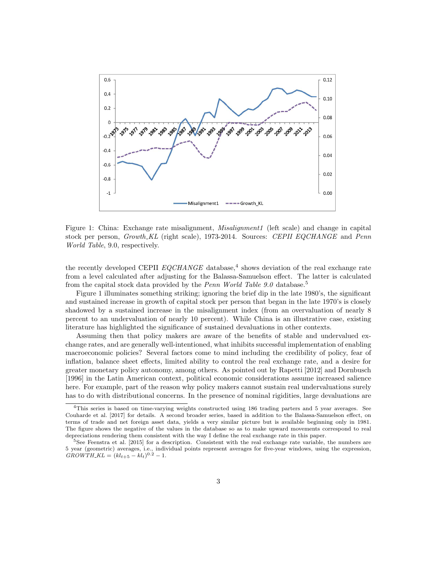

Figure 1: China: Exchange rate misalignment, *Misalignment1* (left scale) and change in capital stock per person, Growth KL (right scale), 1973-2014. Sources: CEPII EQCHANGE and Penn World Table, 9.0, respectively.

the recently developed CEPII  $EQCHANCE$  database,<sup>4</sup> shows deviation of the real exchange rate from a level calculated after adjusting for the Balassa-Samuelson effect. The latter is calculated from the capital stock data provided by the *Penn World Table 9.0* database.<sup>5</sup>

Figure 1 illuminates something striking; ignoring the brief dip in the late 1980's, the significant and sustained increase in growth of capital stock per person that began in the late 1970's is closely shadowed by a sustained increase in the misalignment index (from an overvaluation of nearly 8 percent to an undervaluation of nearly 10 percent). While China is an illustrative case, existing literature has highlighted the significance of sustained devaluations in other contexts.

Assuming then that policy makers are aware of the benefits of stable and undervalued exchange rates, and are generally well-intentioned, what inhibits successful implementation of enabling macroeconomic policies? Several factors come to mind including the credibility of policy, fear of inflation, balance sheet effects, limited ability to control the real exchange rate, and a desire for greater monetary policy autonomy, among others. As pointed out by Rapetti [2012] and Dornbusch [1996] in the Latin American context, political economic considerations assume increased salience here. For example, part of the reason why policy makers cannot sustain real undervaluations surely has to do with distributional concerns. In the presence of nominal rigidities, large devaluations are

<sup>&</sup>lt;sup>4</sup>This series is based on time-varying weights constructed using 186 trading parters and 5 year averages. See Couharde et al. [2017] for details. A second broader series, based in addition to the Balassa-Samuelson effect, on terms of trade and net foreign asset data, yields a very similar picture but is available beginning only in 1981. The figure shows the negative of the values in the database so as to make upward movements correspond to real depreciations rendering them consistent with the way I define the real exchange rate in this paper.

<sup>5</sup>See Feenstra et al. [2015] for a description. Consistent with the real exchange rate variable, the numbers are 5 year (geometric) averages, i.e., individual points represent averages for five-year windows, using the expression,  $GROWTH\_KL = (kl_{t+5} - kl_t)^{0.2} - 1.$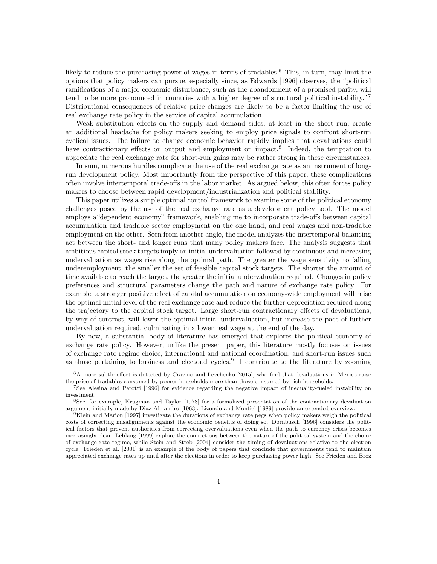likely to reduce the purchasing power of wages in terms of tradables.<sup>6</sup> This, in turn, may limit the options that policy makers can pursue, especially since, as Edwards [1996] observes, the "political ramifications of a major economic disturbance, such as the abandonment of a promised parity, will tend to be more pronounced in countries with a higher degree of structural political instability."<sup>7</sup> Distributional consequences of relative price changes are likely to be a factor limiting the use of real exchange rate policy in the service of capital accumulation.

Weak substitution effects on the supply and demand sides, at least in the short run, create an additional headache for policy makers seeking to employ price signals to confront short-run cyclical issues. The failure to change economic behavior rapidly implies that devaluations could have contractionary effects on output and employment on impact.<sup>8</sup> Indeed, the temptation to appreciate the real exchange rate for short-run gains may be rather strong in these circumstances.

In sum, numerous hurdles complicate the use of the real exchange rate as an instrument of longrun development policy. Most importantly from the perspective of this paper, these complications often involve intertemporal trade-offs in the labor market. As argued below, this often forces policy makers to choose between rapid development/industrialization and political stability.

This paper utilizes a simple optimal control framework to examine some of the political economy challenges posed by the use of the real exchange rate as a development policy tool. The model employs a"dependent economy" framework, enabling me to incorporate trade-offs between capital accumulation and tradable sector employment on the one hand, and real wages and non-tradable employment on the other. Seen from another angle, the model analyzes the intertemporal balancing act between the short- and longer runs that many policy makers face. The analysis suggests that ambitious capital stock targets imply an initial undervaluation followed by continuous and increasing undervaluation as wages rise along the optimal path. The greater the wage sensitivity to falling underemployment, the smaller the set of feasible capital stock targets. The shorter the amount of time available to reach the target, the greater the initial undervaluation required. Changes in policy preferences and structural parameters change the path and nature of exchange rate policy. For example, a stronger positive effect of capital accumulation on economy-wide employment will raise the optimal initial level of the real exchange rate and reduce the further depreciation required along the trajectory to the capital stock target. Large short-run contractionary effects of devaluations, by way of contrast, will lower the optimal initial undervaluation, but increase the pace of further undervaluation required, culminating in a lower real wage at the end of the day.

By now, a substantial body of literature has emerged that explores the political economy of exchange rate policy. However, unlike the present paper, this literature mostly focuses on issues of exchange rate regime choice, international and national coordination, and short-run issues such as those pertaining to business and electoral cycles.<sup>9</sup> I contribute to the literature by zooming

 $\overline{6A}$  more subtle effect is detected by Cravino and Levchenko [2015], who find that devaluations in Mexico raise the price of tradables consumed by poorer households more than those consumed by rich households.

<sup>7</sup>See Alesina and Perotti [1996] for evidence regarding the negative impact of inequality-fueled instability on investment.

<sup>8</sup>See, for example, Krugman and Taylor [1978] for a formalized presentation of the contractionary devaluation argument initially made by Diaz-Alejandro [1963]. Lizondo and Montiel [1989] provide an extended overview.

<sup>&</sup>lt;sup>9</sup>Klein and Marion [1997] investigate the durations of exchange rate pegs when policy makers weigh the political costs of correcting misalignments against the economic benefits of doing so. Dornbusch [1996] considers the political factors that prevent authorities from correcting overvaluations even when the path to currency crises becomes increasingly clear. Leblang [1999] explore the connections between the nature of the political system and the choice of exchange rate regime, while Stein and Streb [2004] consider the timing of devaluations relative to the election cycle. Frieden et al. [2001] is an example of the body of papers that conclude that governments tend to maintain appreciated exchange rates up until after the elections in order to keep purchasing power high. See Frieden and Broz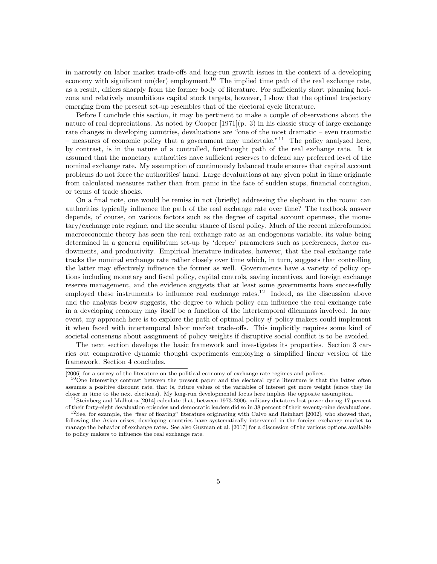in narrowly on labor market trade-offs and long-run growth issues in the context of a developing economy with significant un(der) employment.<sup>10</sup> The implied time path of the real exchange rate, as a result, differs sharply from the former body of literature. For sufficiently short planning horizons and relatively unambitious capital stock targets, however, I show that the optimal trajectory emerging from the present set-up resembles that of the electoral cycle literature.

Before I conclude this section, it may be pertinent to make a couple of observations about the nature of real depreciations. As noted by Cooper [1971](p. 3) in his classic study of large exchange rate changes in developing countries, devaluations are "one of the most dramatic – even traumatic – measures of economic policy that a government may undertake.<sup>"11</sup> The policy analyzed here, by contrast, is in the nature of a controlled, forethought path of the real exchange rate. It is assumed that the monetary authorities have sufficient reserves to defend any preferred level of the nominal exchange rate. My assumption of continuously balanced trade ensures that capital account problems do not force the authorities' hand. Large devaluations at any given point in time originate from calculated measures rather than from panic in the face of sudden stops, financial contagion, or terms of trade shocks.

On a final note, one would be remiss in not (briefly) addressing the elephant in the room: can authorities typically influence the path of the real exchange rate over time? The textbook answer depends, of course, on various factors such as the degree of capital account openness, the monetary/exchange rate regime, and the secular stance of fiscal policy. Much of the recent microfounded macroeconomic theory has seen the real exchange rate as an endogenous variable, its value being determined in a general equilibrium set-up by 'deeper' parameters such as preferences, factor endowments, and productivity. Empirical literature indicates, however, that the real exchange rate tracks the nominal exchange rate rather closely over time which, in turn, suggests that controlling the latter may effectively influence the former as well. Governments have a variety of policy options including monetary and fiscal policy, capital controls, saving incentives, and foreign exchange reserve management, and the evidence suggests that at least some governments have successfully employed these instruments to influence real exchange rates.<sup>12</sup> Indeed, as the discussion above and the analysis below suggests, the degree to which policy can influence the real exchange rate in a developing economy may itself be a function of the intertemporal dilemmas involved. In any event, my approach here is to explore the path of optimal policy  $if$  policy makers could implement it when faced with intertemporal labor market trade-offs. This implicitly requires some kind of societal consensus about assignment of policy weights if disruptive social conflict is to be avoided.

The next section develops the basic framework and investigates its properties. Section 3 carries out comparative dynamic thought experiments employing a simplified linear version of the framework. Section 4 concludes.

<sup>[2006]</sup> for a survey of the literature on the political economy of exchange rate regimes and polices.

<sup>&</sup>lt;sup>10</sup>One interesting contrast between the present paper and the electoral cycle literature is that the latter often assumes a positive discount rate, that is, future values of the variables of interest get more weight (since they lie closer in time to the next elections). My long-run developmental focus here implies the opposite assumption.

<sup>&</sup>lt;sup>11</sup>Steinberg and Malhotra [2014] calculate that, between 1973-2006, military dictators lost power during 17 percent of their forty-eight devaluation episodes and democratic leaders did so in 38 percent of their seventy-nine devaluations.  $12$ See, for example, the "fear of floating" literature originating with Calvo and Reinhart [2002], who showed that, following the Asian crises, developing countries have systematically intervened in the foreign exchange market to

manage the behavior of exchange rates. See also Guzman et al. [2017] for a discussion of the various options available to policy makers to influence the real exchange rate.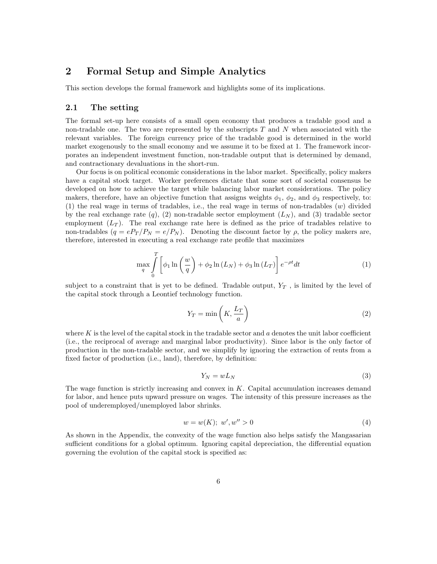### 2 Formal Setup and Simple Analytics

This section develops the formal framework and highlights some of its implications.

### 2.1 The setting

The formal set-up here consists of a small open economy that produces a tradable good and a non-tradable one. The two are represented by the subscripts  $T$  and  $N$  when associated with the relevant variables. The foreign currency price of the tradable good is determined in the world market exogenously to the small economy and we assume it to be fixed at 1. The framework incorporates an independent investment function, non-tradable output that is determined by demand, and contractionary devaluations in the short-run.

Our focus is on political economic considerations in the labor market. Specifically, policy makers have a capital stock target. Worker preferences dictate that some sort of societal consensus be developed on how to achieve the target while balancing labor market considerations. The policy makers, therefore, have an objective function that assigns weights  $\phi_1$ ,  $\phi_2$ , and  $\phi_3$  respectively, to: (1) the real wage in terms of tradables, i.e., the real wage in terms of non-tradables (w) divided by the real exchange rate  $(q)$ ,  $(2)$  non-tradable sector employment  $(L_N)$ , and  $(3)$  tradable sector employment  $(L_T)$ . The real exchange rate here is defined as the price of tradables relative to non-tradables  $(q = eP_T/P_N = e/P_N)$ . Denoting the discount factor by  $\rho$ , the policy makers are, therefore, interested in executing a real exchange rate profile that maximizes

$$
\max_{q} \int_{0}^{T} \left[ \phi_1 \ln \left( \frac{w}{q} \right) + \phi_2 \ln \left( L_N \right) + \phi_3 \ln \left( L_T \right) \right] e^{-\rho t} dt \tag{1}
$$

subject to a constraint that is yet to be defined. Tradable output,  $Y_T$ , is limited by the level of the capital stock through a Leontief technology function.

$$
Y_T = \min\left(K, \frac{L_T}{a}\right) \tag{2}
$$

where  $K$  is the level of the capital stock in the tradable sector and  $a$  denotes the unit labor coefficient (i.e., the reciprocal of average and marginal labor productivity). Since labor is the only factor of production in the non-tradable sector, and we simplify by ignoring the extraction of rents from a fixed factor of production (i.e., land), therefore, by definition:

$$
Y_N = wL_N \tag{3}
$$

The wage function is strictly increasing and convex in  $K$ . Capital accumulation increases demand for labor, and hence puts upward pressure on wages. The intensity of this pressure increases as the pool of underemployed/unemployed labor shrinks.

$$
w = w(K); \ w', w'' > 0 \tag{4}
$$

As shown in the Appendix, the convexity of the wage function also helps satisfy the Mangasarian sufficient conditions for a global optimum. Ignoring capital depreciation, the differential equation governing the evolution of the capital stock is specified as: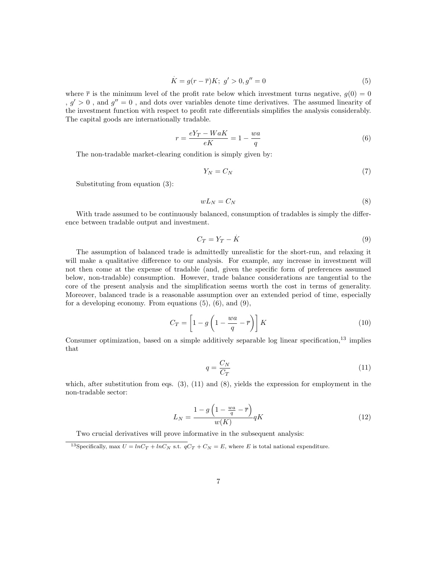$$
K = g(r - \overline{r})K; \ g' > 0, g'' = 0 \tag{5}
$$

where  $\bar{r}$  is the minimum level of the profit rate below which investment turns negative,  $q(0) = 0$  $, g' > 0$ , and  $g'' = 0$ , and dots over variables denote time derivatives. The assumed linearity of the investment function with respect to profit rate differentials simplifies the analysis considerably. The capital goods are internationally tradable.

$$
r = \frac{eY_T - WaK}{eK} = 1 - \frac{wa}{q}
$$
\n<sup>(6)</sup>

The non-tradable market-clearing condition is simply given by:

$$
Y_N = C_N \tag{7}
$$

Substituting from equation (3):

$$
wL_N = C_N \tag{8}
$$

With trade assumed to be continuously balanced, consumption of tradables is simply the difference between tradable output and investment.

$$
C_T = Y_T - \dot{K} \tag{9}
$$

The assumption of balanced trade is admittedly unrealistic for the short-run, and relaxing it will make a qualitative difference to our analysis. For example, any increase in investment will not then come at the expense of tradable (and, given the specific form of preferences assumed below, non-tradable) consumption. However, trade balance considerations are tangential to the core of the present analysis and the simplification seems worth the cost in terms of generality. Moreover, balanced trade is a reasonable assumption over an extended period of time, especially for a developing economy. From equations  $(5)$ ,  $(6)$ , and  $(9)$ ,

$$
C_T = \left[1 - g\left(1 - \frac{wa}{q} - \overline{r}\right)\right] K\tag{10}
$$

Consumer optimization, based on a simple additively separable log linear specification,<sup>13</sup> implies that

$$
q = \frac{C_N}{C_T} \tag{11}
$$

which, after substitution from eqs.  $(3)$ ,  $(11)$  and  $(8)$ , yields the expression for employment in the non-tradable sector:

$$
L_N = \frac{1 - g\left(1 - \frac{wa}{q} - \overline{r}\right)}{w(K)} qK\tag{12}
$$

Two crucial derivatives will prove informative in the subsequent analysis:

<sup>&</sup>lt;sup>13</sup>Specifically, max  $U = lnC_T + lnC_N$  s.t.  $qC_T + C_N = E$ , where E is total national expenditure.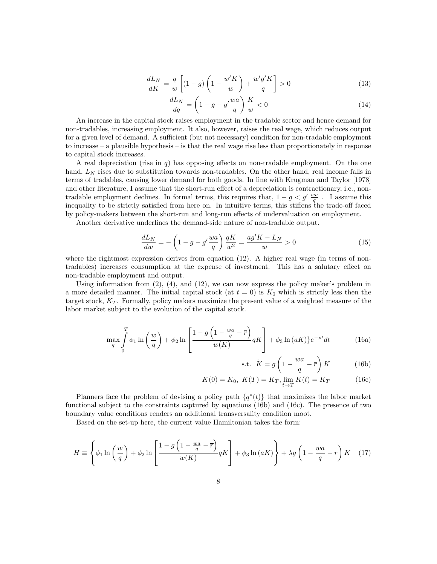$$
\frac{dL_N}{dK} = \frac{q}{w} \left[ (1 - g) \left( 1 - \frac{w'K}{w} \right) + \frac{w'g'K}{q} \right] > 0 \tag{13}
$$

$$
\frac{dL_N}{dq} = \left(1 - g - g'\frac{wa}{q}\right)\frac{K}{w} < 0\tag{14}
$$

An increase in the capital stock raises employment in the tradable sector and hence demand for non-tradables, increasing employment. It also, however, raises the real wage, which reduces output for a given level of demand. A sufficient (but not necessary) condition for non-tradable employment to increase – a plausible hypothesis – is that the real wage rise less than proportionately in response to capital stock increases.

A real depreciation (rise in  $q$ ) has opposing effects on non-tradable employment. On the one hand,  $L<sub>N</sub>$  rises due to substitution towards non-tradables. On the other hand, real income falls in terms of tradables, causing lower demand for both goods. In line with Krugman and Taylor [1978] and other literature, I assume that the short-run effect of a depreciation is contractionary, i.e., nontradable employment declines. In formal terms, this requires that,  $1 - g < g' \frac{wa}{q}$ . I assume this inequality to be strictly satisfied from here on. In intuitive terms, this stiffens the trade-off faced by policy-makers between the short-run and long-run effects of undervaluation on employment.

Another derivative underlines the demand-side nature of non-tradable output.

$$
\frac{dL_N}{dw} = -\left(1 - g - g'\frac{wa}{q}\right)\frac{qK}{w^2} = \frac{ag'K - L_N}{w} > 0\tag{15}
$$

where the rightmost expression derives from equation (12). A higher real wage (in terms of nontradables) increases consumption at the expense of investment. This has a salutary effect on non-tradable employment and output.

Using information from  $(2)$ ,  $(4)$ , and  $(12)$ , we can now express the policy maker's problem in a more detailed manner. The initial capital stock (at  $t = 0$ ) is  $K_0$  which is strictly less then the target stock,  $K_T$ . Formally, policy makers maximize the present value of a weighted measure of the labor market subject to the evolution of the capital stock.

$$
\max_{q} \int_{0}^{T} \phi_1 \ln\left(\frac{w}{q}\right) + \phi_2 \ln\left[\frac{1 - g\left(1 - \frac{wa}{q} - \overline{r}\right)}{w(K)} qK\right] + \phi_3 \ln(aK) e^{-\rho t} dt \tag{16a}
$$

$$
\text{s.t.} \quad K = g \left( 1 - \frac{wa}{q} - \overline{r} \right) K \tag{16b}
$$

$$
K(0) = K_0, \ K(T) = K_T, \lim_{t \to T} K(t) = K_T \tag{16c}
$$

Planners face the problem of devising a policy path  $\{q^*(t)\}\$  that maximizes the labor market functional subject to the constraints captured by equations (16b) and (16c). The presence of two boundary value conditions renders an additional transversality condition moot.

Based on the set-up here, the current value Hamiltonian takes the form:

$$
H \equiv \left\{ \phi_1 \ln\left(\frac{w}{q}\right) + \phi_2 \ln\left[\frac{1 - g\left(1 - \frac{wa}{q} - \overline{r}\right)}{w(K)} qK\right] + \phi_3 \ln(aK) \right\} + \lambda g\left(1 - \frac{wa}{q} - \overline{r}\right)K \quad (17)
$$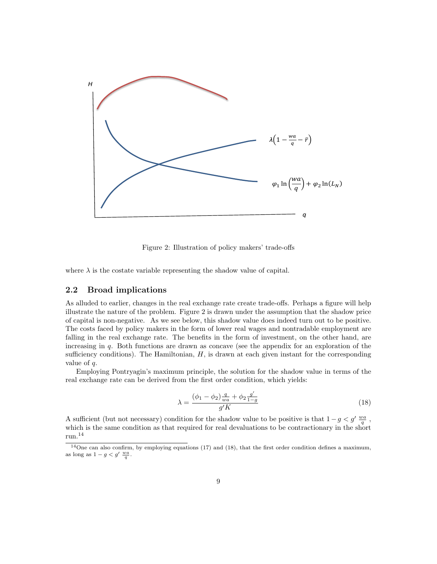

Figure 2: Illustration of policy makers' trade-offs

where  $\lambda$  is the costate variable representing the shadow value of capital.

### 2.2 Broad implications

As alluded to earlier, changes in the real exchange rate create trade-offs. Perhaps a figure will help illustrate the nature of the problem. Figure 2 is drawn under the assumption that the shadow price of capital is non-negative. As we see below, this shadow value does indeed turn out to be positive. The costs faced by policy makers in the form of lower real wages and nontradable employment are falling in the real exchange rate. The benefits in the form of investment, on the other hand, are increasing in q. Both functions are drawn as concave (see the appendix for an exploration of the sufficiency conditions). The Hamiltonian,  $H$ , is drawn at each given instant for the corresponding value of q.

Employing Pontryagin's maximum principle, the solution for the shadow value in terms of the real exchange rate can be derived from the first order condition, which yields:

$$
\lambda = \frac{(\phi_1 - \phi_2) \frac{q}{wa} + \phi_2 \frac{g'}{1 - g}}{g' K}
$$
\n(18)

A sufficient (but not necessary) condition for the shadow value to be positive is that  $1 - g < g' \frac{wa}{q}$ , which is the same condition as that required for real devaluations to be contractionary in the short run.<sup>14</sup>

<sup>&</sup>lt;sup>14</sup>One can also confirm, by employing equations (17) and (18), that the first order condition defines a maximum, as long as  $1 - g < g' \frac{wa}{q}$ .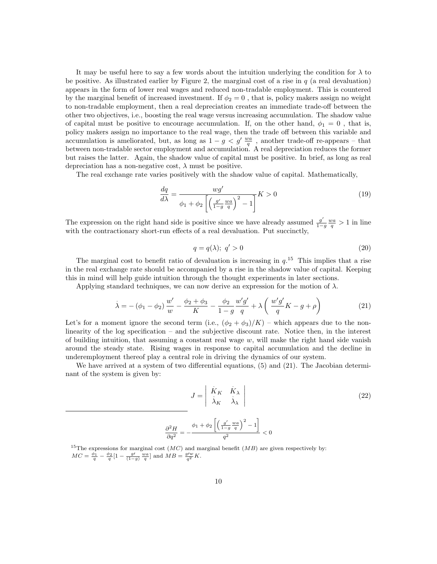It may be useful here to say a few words about the intuition underlying the condition for  $\lambda$  to be positive. As illustrated earlier by Figure 2, the marginal cost of a rise in  $q$  (a real devaluation) appears in the form of lower real wages and reduced non-tradable employment. This is countered by the marginal benefit of increased investment. If  $\phi_2 = 0$ , that is, policy makers assign no weight to non-tradable employment, then a real depreciation creates an immediate trade-off between the other two objectives, i.e., boosting the real wage versus increasing accumulation. The shadow value of capital must be positive to encourage accumulation. If, on the other hand,  $\phi_1 = 0$ , that is, policy makers assign no importance to the real wage, then the trade off between this variable and accumulation is ameliorated, but, as long as  $1 - g < g' \frac{wa}{q}$ , another trade-off re-appears – that between non-tradable sector employment and accumulation. A real depreciation reduces the former but raises the latter. Again, the shadow value of capital must be positive. In brief, as long as real depreciation has a non-negative cost,  $\lambda$  must be positive.

The real exchange rate varies positively with the shadow value of capital. Mathematically,

$$
\frac{dq}{d\lambda} = \frac{wg'}{\phi_1 + \phi_2 \left[ \left( \frac{g'}{1 - g} \frac{wa}{q} \right)^2 - 1 \right]} K > 0 \tag{19}
$$

The expression on the right hand side is positive since we have already assumed  $\frac{g'}{1-a}$  $\frac{g'}{1-g} \frac{wa}{q} > 1$  in line with the contractionary short-run effects of a real devaluation. Put succinctly,

$$
q = q(\lambda); \ q' > 0 \tag{20}
$$

The marginal cost to benefit ratio of devaluation is increasing in  $q$ <sup>15</sup>. This implies that a rise in the real exchange rate should be accompanied by a rise in the shadow value of capital. Keeping this in mind will help guide intuition through the thought experiments in later sections.

Applying standard techniques, we can now derive an expression for the motion of  $\lambda$ .

$$
\dot{\lambda} = -(\phi_1 - \phi_2) \frac{w'}{w} - \frac{\phi_2 + \phi_3}{K} - \frac{\phi_2}{1 - g} \frac{w'g'}{q} + \lambda \left( \frac{w'g'}{q} K - g + \rho \right)
$$
(21)

Let's for a moment ignore the second term (i.e.,  $(\phi_2 + \phi_3)/K$ ) – which appears due to the nonlinearity of the log specification – and the subjective discount rate. Notice then, in the interest of building intuition, that assuming a constant real wage  $w$ , will make the right hand side vanish around the steady state. Rising wages in response to capital accumulation and the decline in underemployment thereof play a central role in driving the dynamics of our system.

We have arrived at a system of two differential equations,  $(5)$  and  $(21)$ . The Jacobian determinant of the system is given by:

$$
J = \begin{vmatrix} \dot{K}_K & \dot{K}_\lambda \\ \dot{\lambda}_K & \dot{\lambda}_\lambda \end{vmatrix}
$$
\n
$$
\frac{\partial^2 H}{\partial q^2} = -\frac{\phi_1 + \phi_2 \left[ \left( \frac{g'}{1 - g} \frac{wa}{q} \right)^2 - 1 \right]}{q^2} < 0
$$
\n(22)

<sup>15</sup>The expressions for marginal cost  $(MC)$  and marginal benefit  $(MB)$  are given respectively by:  $MC = \frac{\phi_1}{q} - \frac{\phi_2}{q} [1 - \frac{g'}{(1-g)} \frac{wa}{q}]$  and  $MB = \frac{g/w}{q^2} K$ .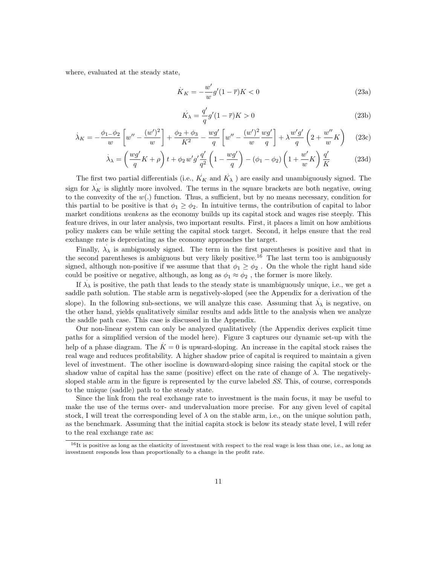where, evaluated at the steady state,

$$
\dot{K}_K = -\frac{w'}{w}g'(1-\overline{r})K < 0\tag{23a}
$$

$$
\dot{K}_{\lambda} = \frac{q'}{q}g'(1-\overline{r})K > 0
$$
\n(23b)

$$
\dot{\lambda}_K = -\frac{\phi_{1-}\phi_2}{w} \left[ w'' - \frac{(w')^2}{w} \right] + \frac{\phi_2 + \phi_3}{K^2} - \frac{wg'}{q} \left[ w'' - \frac{(w')^2}{w} \frac{wg'}{q} \right] + \lambda \frac{w'g'}{q} \left( 2 + \frac{w''}{w} K \right) \tag{23c}
$$

$$
\dot{\lambda}_{\lambda} = \left(\frac{wg'}{q}K + \rho\right)t + \phi_2 w'g'\frac{q'}{q^2}\left(1 - \frac{wg'}{q}\right) - (\phi_1 - \phi_2)\left(1 + \frac{w'}{w}K\right)\frac{q'}{K}
$$
(23d)

The first two partial differentials (i.e.,  $K_K$  and  $K_\lambda$ ) are easily and unambiguously signed. The sign for  $\lambda_K$  is slightly more involved. The terms in the square brackets are both negative, owing to the convexity of the  $w(.)$  function. Thus, a sufficient, but by no means necessary, condition for this partial to be positive is that  $\phi_1 \geq \phi_2$ . In intuitive terms, the contribution of capital to labor market conditions *weakens* as the economy builds up its capital stock and wages rise steeply. This feature drives, in our later analysis, two important results. First, it places a limit on how ambitious policy makers can be while setting the capital stock target. Second, it helps ensure that the real exchange rate is depreciating as the economy approaches the target. .

Finally,  $\lambda_{\lambda}$  is ambiguously signed. The term in the first parentheses is positive and that in the second parentheses is ambiguous but very likely positive.<sup>16</sup> The last term too is ambiguously signed, although non-positive if we assume that that  $\phi_1 \ge \phi_2$ . On the whole the right hand side could be positive or negative, although, as long as  $\phi_1 \approx \phi_2$ , the former is more likely.

If  $\lambda_{\lambda}$  is positive, the path that leads to the steady state is unambiguously unique, i.e., we get a saddle path solution. The stable arm is negatively-sloped (see the Appendix for a derivation of the shows put strategies and is negatively support (see the upper use of determining that  $\lambda_{\lambda}$  is negative, on slope). In the following sub-sections, we will analyze this case. Assuming that  $\lambda_{\lambda}$  is negative, on the other hand, yields qualitatively similar results and adds little to the analysis when we analyze the saddle path case. This case is discussed in the Appendix.

Our non-linear system can only be analyzed qualitatively (the Appendix derives explicit time paths for a simplified version of the model here). Figure 3 captures our dynamic set-up with the . help of a phase diagram. The  $K = 0$  is upward-sloping. An increase in the capital stock raises the real wage and reduces profitability. A higher shadow price of capital is required to maintain a given level of investment. The other isocline is downward-sloping since raising the capital stock or the shadow value of capital has the same (positive) effect on the rate of change of  $\lambda$ . The negativelysloped stable arm in the figure is represented by the curve labeled SS. This, of course, corresponds to the unique (saddle) path to the steady state.

Since the link from the real exchange rate to investment is the main focus, it may be useful to make the use of the terms over- and undervaluation more precise. For any given level of capital stock, I will treat the corresponding level of  $\lambda$  on the stable arm, i.e., on the unique solution path, as the benchmark. Assuming that the initial capita stock is below its steady state level, I will refer to the real exchange rate as:

 $16$ It is positive as long as the elasticity of investment with respect to the real wage is less than one, i.e., as long as investment responds less than proportionally to a change in the profit rate.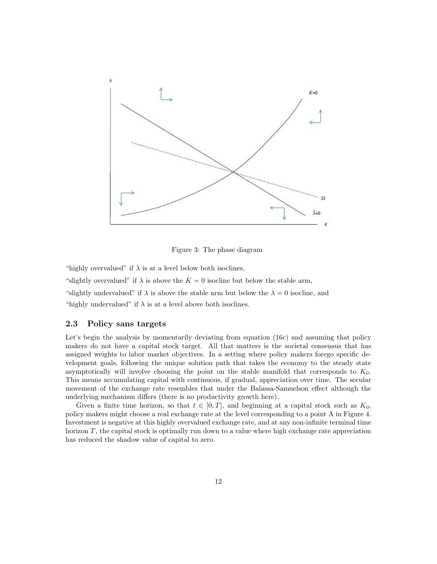

Figure 3: The phase diagram

"highly overvalued" if  $\lambda$  is at a level below both isoclines,

"slightly overvalued" if  $\lambda$  is above the  $\dot{K} = 0$  isocline but below the stable arm, "slightly undervalued" if  $\lambda$  is above the stable arm but below the  $\lambda = 0$  isocline, and "highly undervalued" if  $\lambda$  is at a level above both isoclines.

#### 2.3 Policy sans targets

Let's begin the analysis by momentarily deviating from equation (16c) and assuming that policy makers do not have a capital stock target. All that matters is the societal consensus that has assigned weights to labor market objectives. In a setting where policy makers forego specific development goals, following the unique solution path that takes the economy to the steady state asymptotically will involve choosing the point on the stable manifold that corresponds to  $K_0$ . This means accumulating capital with continuous, if gradual, appreciation over time. The secular movement of the exchange rate resembles that under the Balassa-Samuelson effect although the underlying mechanism differs (there is no productivity growth here).

Given a finite time horizon, so that  $t \in [0, T]$ , and beginning at a capital stock such as  $K_0$ , policy makers might choose a real exchange rate at the level corresponding to a point A in Figure 4. Investment is negative at this highly overvalued exchange rate, and at any non-infinite terminal time horizon  $T$ , the capital stock is optimally run down to a value where high exchange rate appreciation has reduced the shadow value of capital to zero.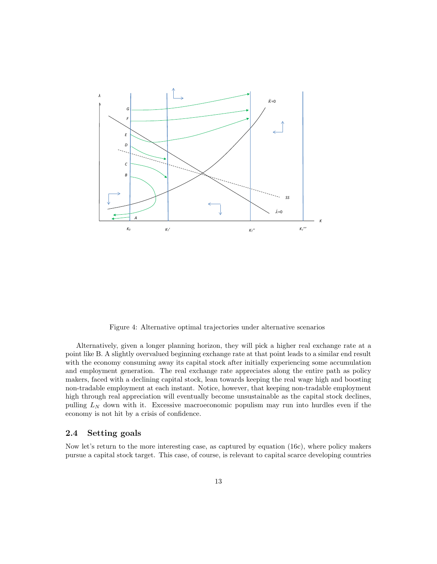

Figure 4: Alternative optimal trajectories under alternative scenarios

Alternatively, given a longer planning horizon, they will pick a higher real exchange rate at a point like B. A slightly overvalued beginning exchange rate at that point leads to a similar end result with the economy consuming away its capital stock after initially experiencing some accumulation and employment generation. The real exchange rate appreciates along the entire path as policy makers, faced with a declining capital stock, lean towards keeping the real wage high and boosting non-tradable employment at each instant. Notice, however, that keeping non-tradable employment high through real appreciation will eventually become unsustainable as the capital stock declines, pulling  $L<sub>N</sub>$  down with it. Excessive macroeconomic populism may run into hurdles even if the economy is not hit by a crisis of confidence.

### 2.4 Setting goals

Now let's return to the more interesting case, as captured by equation (16c), where policy makers pursue a capital stock target. This case, of course, is relevant to capital scarce developing countries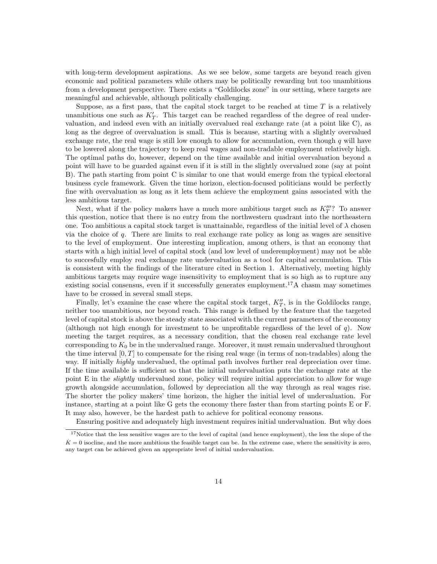with long-term development aspirations. As we see below, some targets are beyond reach given economic and political parameters while others may be politically rewarding but too unambitious from a development perspective. There exists a "Goldilocks zone" in our setting, where targets are meaningful and achievable, although politically challenging.

Suppose, as a first pass, that the capital stock target to be reached at time  $T$  is a relatively unambitious one such as  $K_T'$ . This target can be reached regardless of the degree of real undervaluation, and indeed even with an initially overvalued real exchange rate (at a point like C), as long as the degree of overvaluation is small. This is because, starting with a slightly overvalued exchange rate, the real wage is still low enough to allow for accumulation, even though  $q$  will have to be lowered along the trajectory to keep real wages and non-tradable employment relatively high. The optimal paths do, however, depend on the time available and initial overvaluation beyond a point will have to be guarded against even if it is still in the slightly overvalued zone (say at point B). The path starting from point C is similar to one that would emerge from the typical electoral business cycle framework. Given the time horizon, election-focused politicians would be perfectly fine with overvaluation as long as it lets them achieve the employment gains associated with the less ambitious target.

Next, what if the policy makers have a much more ambitious target such as  $K_T'''$ ? To answer this question, notice that there is no entry from the northwestern quadrant into the northeastern one. Too ambitious a capital stock target is unattainable, regardless of the initial level of  $\lambda$  chosen via the choice of q. There are limits to real exchange rate policy as long as wages are sensitive to the level of employment. One interesting implication, among others, is that an economy that starts with a high initial level of capital stock (and low level of underemployment) may not be able to succesfully employ real exchange rate undervaluation as a tool for capital accumulation. This is consistent with the findings of the literature cited in Section 1. Alternatively, meeting highly ambitious targets may require wage insensitivity to employment that is so high as to rupture any existing social consensus, even if it successfully generates employment.<sup>17</sup>A chasm may sometimes have to be crossed in several small steps.

Finally, let's examine the case where the capital stock target,  $K_T''$ , is in the Goldilocks range, neither too unambitious, nor beyond reach. This range is defined by the feature that the targeted level of capital stock is above the steady state associated with the current parameters of the economy (although not high enough for investment to be unprofitable regardless of the level of  $q$ ). Now meeting the target requires, as a necessary condition, that the chosen real exchange rate level corresponding to  $K_0$  be in the undervalued range. Moreover, it must remain undervalued throughout the time interval  $[0, T]$  to compensate for the rising real wage (in terms of non-tradables) along the way. If initially *highly* undervalued, the optimal path involves further real depreciation over time. If the time available is sufficient so that the initial undervaluation puts the exchange rate at the point E in the *slightly* undervalued zone, policy will require initial appreciation to allow for wage growth alongside accumulation, followed by depreciation all the way through as real wages rise. The shorter the policy makers' time horizon, the higher the initial level of undervaluation. For instance, starting at a point like G gets the economy there faster than from starting points E or F. It may also, however, be the hardest path to achieve for political economy reasons.

Ensuring positive and adequately high investment requires initial undervaluation. But why does

<sup>&</sup>lt;sup>17</sup>Notice that the less sensitive wages are to the level of capital (and hence employment), the less the slope of the  $K = 0$  isocline, and the more ambitious the feasible target can be. In the extreme case, where the sensitivity is zero, any target can be achieved given an appropriate level of initial undervaluation.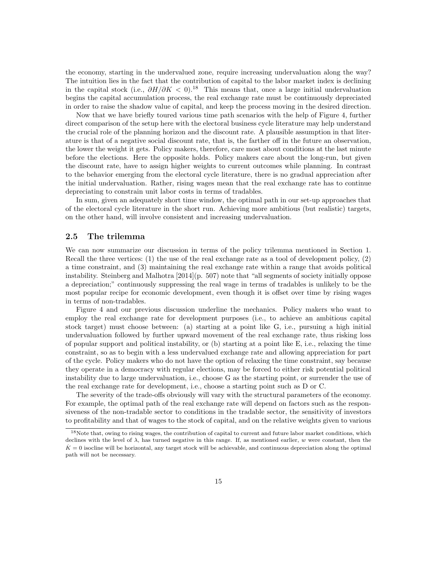the economy, starting in the undervalued zone, require increasing undervaluation along the way? The intuition lies in the fact that the contribution of capital to the labor market index is declining in the capital stock (i.e.,  $\partial H/\partial K < 0$ ).<sup>18</sup> This means that, once a large initial undervaluation begins the capital accumulation process, the real exchange rate must be continuously depreciated in order to raise the shadow value of capital, and keep the process moving in the desired direction.

Now that we have briefly toured various time path scenarios with the help of Figure 4, further direct comparison of the setup here with the electoral business cycle literature may help understand the crucial role of the planning horizon and the discount rate. A plausible assumption in that literature is that of a negative social discount rate, that is, the farther off in the future an observation, the lower the weight it gets. Policy makers, therefore, care most about conditions at the last minute before the elections. Here the opposite holds. Policy makers care about the long-run, but given the discount rate, have to assign higher weights to current outcomes while planning. In contrast to the behavior emerging from the electoral cycle literature, there is no gradual appreciation after the initial undervaluation. Rather, rising wages mean that the real exchange rate has to continue depreciating to constrain unit labor costs in terms of tradables.

In sum, given an adequately short time window, the optimal path in our set-up approaches that of the electoral cycle literature in the short run. Achieving more ambitious (but realistic) targets, on the other hand, will involve consistent and increasing undervaluation.

### 2.5 The trilemma

We can now summarize our discussion in terms of the policy trilemma mentioned in Section 1. Recall the three vertices: (1) the use of the real exchange rate as a tool of development policy, (2) a time constraint, and (3) maintaining the real exchange rate within a range that avoids political instability. Steinberg and Malhotra [2014](p. 507) note that "all segments of society initially oppose a depreciation;" continuously suppressing the real wage in terms of tradables is unlikely to be the most popular recipe for economic development, even though it is offset over time by rising wages in terms of non-tradables.

Figure 4 and our previous discussion underline the mechanics. Policy makers who want to employ the real exchange rate for development purposes (i.e., to achieve an ambitious capital stock target) must choose between: (a) starting at a point like G, i.e., pursuing a high initial undervaluation followed by further upward movement of the real exchange rate, thus risking loss of popular support and political instability, or (b) starting at a point like E, i.e., relaxing the time constraint, so as to begin with a less undervalued exchange rate and allowing appreciation for part of the cycle. Policy makers who do not have the option of relaxing the time constraint, say because they operate in a democracy with regular elections, may be forced to either risk potential political instability due to large undervaluation, i.e., choose G as the starting point, or surrender the use of the real exchange rate for development, i.e., choose a starting point such as D or C.

The severity of the trade-offs obviously will vary with the structural parameters of the economy. For example, the optimal path of the real exchange rate will depend on factors such as the responsiveness of the non-tradable sector to conditions in the tradable sector, the sensitivity of investors to profitability and that of wages to the stock of capital, and on the relative weights given to various

<sup>&</sup>lt;sup>18</sup>Note that, owing to rising wages, the contribution of capital to current and future labor market conditions, which declines with the level of  $\lambda$ , has turned negative in this range. If, as mentioned earlier, w were constant, then the  $K = 0$  isocline will be horizontal, any target stock will be achievable, and continuous depreciation along the optimal path will not be necessary.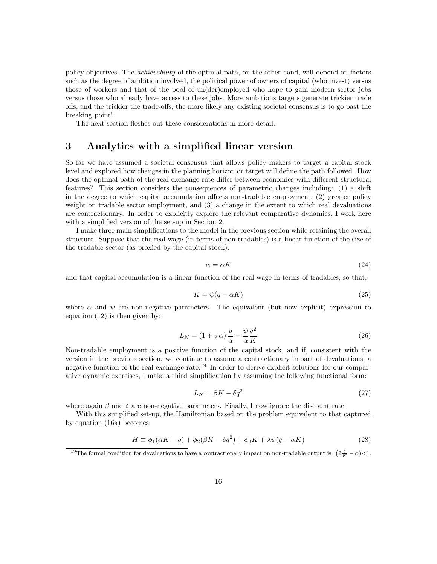policy objectives. The achievability of the optimal path, on the other hand, will depend on factors such as the degree of ambition involved, the political power of owners of capital (who invest) versus those of workers and that of the pool of un(der)employed who hope to gain modern sector jobs versus those who already have access to these jobs. More ambitious targets generate trickier trade offs, and the trickier the trade-offs, the more likely any existing societal consensus is to go past the breaking point!

The next section fleshes out these considerations in more detail.

### 3 Analytics with a simplified linear version

So far we have assumed a societal consensus that allows policy makers to target a capital stock level and explored how changes in the planning horizon or target will define the path followed. How does the optimal path of the real exchange rate differ between economies with different structural features? This section considers the consequences of parametric changes including: (1) a shift in the degree to which capital accumulation affects non-tradable employment, (2) greater policy weight on tradable sector employment, and (3) a change in the extent to which real devaluations are contractionary. In order to explicitly explore the relevant comparative dynamics, I work here with a simplified version of the set-up in Section 2.

I make three main simplifications to the model in the previous section while retaining the overall structure. Suppose that the real wage (in terms of non-tradables) is a linear function of the size of the tradable sector (as proxied by the capital stock).

$$
w = \alpha K \tag{24}
$$

and that capital accumulation is a linear function of the real wage in terms of tradables, so that,

$$
\dot{K} = \psi(q - \alpha K) \tag{25}
$$

where  $\alpha$  and  $\psi$  are non-negative parameters. The equivalent (but now explicit) expression to equation (12) is then given by:

$$
L_N = (1 + \psi \alpha) \frac{q}{\alpha} - \frac{\psi}{\alpha} \frac{q^2}{K}
$$
 (26)

Non-tradable employment is a positive function of the capital stock, and if, consistent with the version in the previous section, we continue to assume a contractionary impact of devaluations, a negative function of the real exchange rate.<sup>19</sup> In order to derive explicit solutions for our comparative dynamic exercises, I make a third simplification by assuming the following functional form:

$$
L_N = \beta K - \delta q^2 \tag{27}
$$

where again  $\beta$  and  $\delta$  are non-negative parameters. Finally, I now ignore the discount rate.

With this simplified set-up, the Hamiltonian based on the problem equivalent to that captured by equation (16a) becomes:

$$
H \equiv \phi_1(\alpha K - q) + \phi_2(\beta K - \delta q^2) + \phi_3 K + \lambda \psi(q - \alpha K)
$$
\n(28)

<sup>&</sup>lt;sup>19</sup>The formal condition for devaluations to have a contractionary impact on non-tradable output is:  $\left(2\frac{q}{K} - \alpha\right) < 1$ .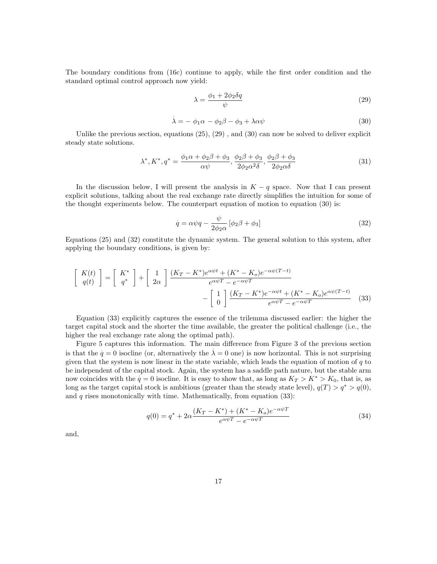The boundary conditions from (16c) continue to apply, while the first order condition and the standard optimal control approach now yield:

$$
\lambda = \frac{\phi_1 + 2\phi_2 \delta q}{\psi} \tag{29}
$$

$$
\dot{\lambda} = -\phi_1 \alpha - \phi_2 \beta - \phi_3 + \lambda \alpha \psi \tag{30}
$$

Unlike the previous section, equations (25), (29) , and (30) can now be solved to deliver explicit steady state solutions.

$$
\lambda^*, K^*, q^* = \frac{\phi_1 \alpha + \phi_2 \beta + \phi_3}{\alpha \psi}, \frac{\phi_2 \beta + \phi_3}{2 \phi_2 \alpha^2 \delta}, \frac{\phi_2 \beta + \phi_3}{2 \phi_2 \alpha \delta} \tag{31}
$$

In the discussion below, I will present the analysis in  $K - q$  space. Now that I can present explicit solutions, talking about the real exchange rate directly simplifies the intuition for some of the thought experiments below. The counterpart equation of motion to equation (30) is:

$$
\dot{q} = \alpha \psi q - \frac{\psi}{2\phi_2 \alpha} \left[ \phi_2 \beta + \phi_3 \right]
$$
\n(32)

Equations (25) and (32) constitute the dynamic system. The general solution to this system, after applying the boundary conditions, is given by:

$$
\begin{bmatrix}\nK(t) \\
q(t)\n\end{bmatrix} = \begin{bmatrix}\nK^* \\
q^*\n\end{bmatrix} + \begin{bmatrix}\n1 \\
2\alpha\n\end{bmatrix} \frac{(K_T - K^*)e^{\alpha\psi t} + (K^* - K_o)e^{-\alpha\psi(T-t)}}{e^{\alpha\psi T} - e^{-\alpha\psi T}} - \begin{bmatrix}\n1 \\
0\n\end{bmatrix} \frac{(K_T - K^*)e^{-\alpha\psi t} + (K^* - K_o)e^{\alpha\psi(T-t)}}{e^{\alpha\psi T} - e^{-\alpha\psi T}} \tag{33}
$$

Equation (33) explicitly captures the essence of the trilemma discussed earlier: the higher the target capital stock and the shorter the time available, the greater the political challenge (i.e., the higher the real exchange rate along the optimal path).

Figure 5 captures this information. The main difference from Figure 3 of the previous section . is that the  $q = 0$  isocline (or, alternatively the  $\lambda = 0$  one) is now horizontal. This is not surprising given that the system is now linear in the state variable, which leads the equation of motion of  $q$  to be independent of the capital stock. Again, the system has a saddle path nature, but the stable arm now coincides with the  $q = 0$  isocline. It is easy to show that, as long as  $K_T > K^* > K_0$ , that is, as long as the target capital stock is ambitious (greater than the steady state level),  $q(T) > q^* > q(0)$ , and  $q$  rises monotonically with time. Mathematically, from equation  $(33)$ :

$$
q(0) = q^* + 2\alpha \frac{(K_T - K^*) + (K^* - K_o)e^{-\alpha \psi T}}{e^{\alpha \psi T} - e^{-\alpha \psi T}}
$$
\n(34)

and,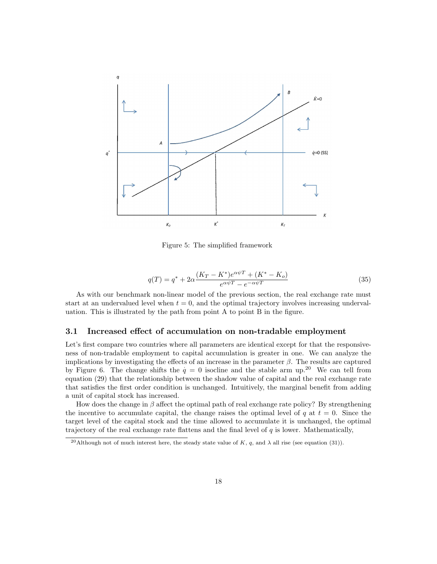

Figure 5: The simplified framework

$$
q(T) = q^* + 2\alpha \frac{(K_T - K^*)e^{\alpha \psi T} + (K^* - K_o)}{e^{\alpha \psi T} - e^{-\alpha \psi T}}
$$
\n(35)

As with our benchmark non-linear model of the previous section, the real exchange rate must start at an undervalued level when  $t = 0$ , and the optimal trajectory involves increasing undervaluation. This is illustrated by the path from point A to point B in the figure.

#### 3.1 Increased effect of accumulation on non-tradable employment

Let's first compare two countries where all parameters are identical except for that the responsiveness of non-tradable employment to capital accumulation is greater in one. We can analyze the implications by investigating the effects of an increase in the parameter  $\beta$ . The results are captured by Figure 6. The change shifts the  $q = 0$  isocline and the stable arm up.<sup>20</sup> We can tell from equation (29) that the relationship between the shadow value of capital and the real exchange rate that satisfies the first order condition is unchanged. Intuitively, the marginal benefit from adding a unit of capital stock has increased.

How does the change in  $\beta$  affect the optimal path of real exchange rate policy? By strengthening the incentive to accumulate capital, the change raises the optimal level of q at  $t = 0$ . Since the target level of the capital stock and the time allowed to accumulate it is unchanged, the optimal trajectory of the real exchange rate flattens and the final level of  $q$  is lower. Mathematically,

<sup>&</sup>lt;sup>20</sup>Although not of much interest here, the steady state value of K, q, and  $\lambda$  all rise (see equation (31)).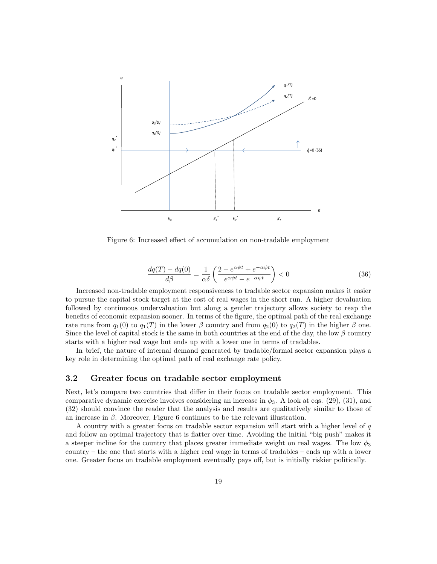

Figure 6: Increased effect of accumulation on non-tradable employment

$$
\frac{dq(T) - dq(0)}{d\beta} = \frac{1}{\alpha\delta} \left( \frac{2 - e^{\alpha\psi t} + e^{-\alpha\psi t}}{e^{\alpha\psi t} - e^{-\alpha\psi t}} \right) < 0
$$
\n(36)

Increased non-tradable employment responsiveness to tradable sector expansion makes it easier to pursue the capital stock target at the cost of real wages in the short run. A higher devaluation followed by continuous undervaluation but along a gentler trajectory allows society to reap the benefits of economic expansion sooner. In terms of the figure, the optimal path of the real exchange rate runs from  $q_1(0)$  to  $q_1(T)$  in the lower β country and from  $q_2(0)$  to  $q_2(T)$  in the higher β one. Since the level of capital stock is the same in both countries at the end of the day, the low  $\beta$  country starts with a higher real wage but ends up with a lower one in terms of tradables.

In brief, the nature of internal demand generated by tradable/formal sector expansion plays a key role in determining the optimal path of real exchange rate policy.

#### 3.2 Greater focus on tradable sector employment

Next, let's compare two countries that differ in their focus on tradable sector employment. This comparative dynamic exercise involves considering an increase in  $\phi_3$ . A look at eqs. (29), (31), and (32) should convince the reader that the analysis and results are qualitatively similar to those of an increase in  $\beta$ . Moreover, Figure 6 continues to be the relevant illustration.

A country with a greater focus on tradable sector expansion will start with a higher level of  $q$ and follow an optimal trajectory that is flatter over time. Avoiding the initial "big push" makes it a steeper incline for the country that places greater immediate weight on real wages. The low  $\phi_3$ country – the one that starts with a higher real wage in terms of tradables – ends up with a lower one. Greater focus on tradable employment eventually pays off, but is initially riskier politically.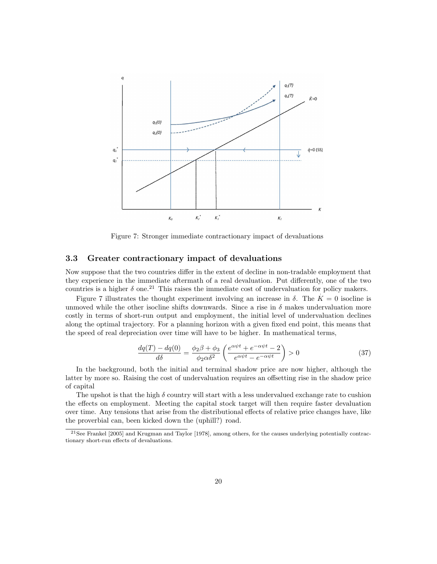

Figure 7: Stronger immediate contractionary impact of devaluations

#### 3.3 Greater contractionary impact of devaluations

Now suppose that the two countries differ in the extent of decline in non-tradable employment that they experience in the immediate aftermath of a real devaluation. Put differently, one of the two countries is a higher  $\delta$  one.<sup>21</sup> This raises the immediate cost of undervaluation for policy makers.

Figure 7 illustrates the thought experiment involving an increase in  $\delta$ . The  $K = 0$  isocline is unmoved while the other isocline shifts downwards. Since a rise in  $\delta$  makes undervaluation more costly in terms of short-run output and employment, the initial level of undervaluation declines along the optimal trajectory. For a planning horizon with a given fixed end point, this means that the speed of real depreciation over time will have to be higher. In mathematical terms,

$$
\frac{dq(T) - dq(0)}{d\delta} = \frac{\phi_2 \beta + \phi_3}{\phi_2 \alpha \delta^2} \left( \frac{e^{\alpha \psi t} + e^{-\alpha \psi t} - 2}{e^{\alpha \psi t} - e^{-\alpha \psi t}} \right) > 0 \tag{37}
$$

In the background, both the initial and terminal shadow price are now higher, although the latter by more so. Raising the cost of undervaluation requires an offsetting rise in the shadow price of capital

The upshot is that the high  $\delta$  country will start with a less undervalued exchange rate to cushion the effects on employment. Meeting the capital stock target will then require faster devaluation over time. Any tensions that arise from the distributional effects of relative price changes have, like the proverbial can, been kicked down the (uphill?) road.

<sup>21</sup>See Frankel [2005] and Krugman and Taylor [1978], among others, for the causes underlying potentially contractionary short-run effects of devaluations.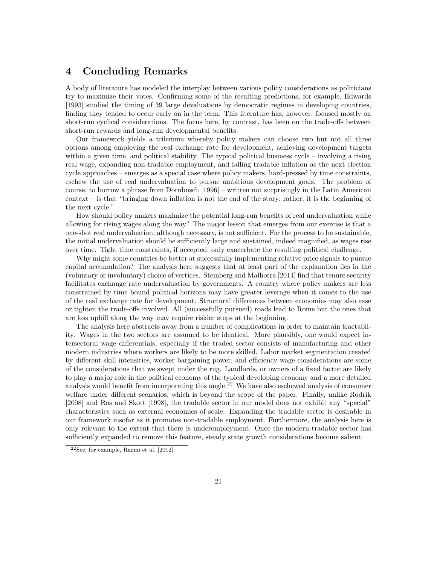### 4 Concluding Remarks

A body of literature has modeled the interplay between various policy considerations as politicians try to maximize their votes. Confirming some of the resulting predictions, for example, Edwards [1993] studied the timing of 39 large devaluations by democratic regimes in developing countries, finding they tended to occur early on in the term. This literature has, however, focused mostly on short-run cyclical considerations. The focus here, by contrast, has been on the trade-offs between short-run rewards and long-run developmental benefits.

Our framework yields a trilemma whereby policy makers can choose two but not all three options among employing the real exchange rate for development, achieving development targets within a given time, and political stability. The typical political business cycle – involving a rising real wage, expanding non-tradable employment, and falling tradable inflation as the next election cycle approaches – emerges as a special case where policy makers, hard-pressed by time constraints, eschew the use of real undervaluation to pursue ambitious development goals. The problem of course, to borrow a phrase from Dornbusch [1996] – written not surprisingly in the Latin American context – is that "bringing down inflation is not the end of the story; rather, it is the beginning of the next cycle."

How should policy makers maximize the potential long-run benefits of real undervaluation while allowing for rising wages along the way? The major lesson that emerges from our exercise is that a one-shot real undervaluation, although necessary, is not sufficient. For the process to be sustainable, the initial undervaluation should be sufficiently large and sustained, indeed magnified, as wages rise over time. Tight time constraints, if accepted, only exacerbate the resulting political challenge.

Why might some countries be better at successfully implementing relative price signals to pursue capital accumulation? The analysis here suggests that at least part of the explanation lies in the (voluntary or involuntary) choice of vertices. Steinberg and Malhotra [2014] find that tenure security facilitates exchange rate undervaluation by governments. A country where policy makers are less constrained by time bound political horizons may have greater leverage when it comes to the use of the real exchange rate for development. Structural differences between economies may also ease or tighten the trade-offs involved. All (successfully pursued) roads lead to Rome but the ones that are less uphill along the way may require riskier steps at the beginning.

The analysis here abstracts away from a number of complications in order to maintain tractability. Wages in the two sectors are assumed to be identical. More plausibly, one would expect intersectoral wage differentials, especially if the traded sector consists of manufacturing and other modern industries where workers are likely to be more skilled. Labor market segmentation created by different skill intensities, worker bargaining power, and efficiency wage considerations are some of the considerations that we swept under the rug. Landlords, or owners of a fixed factor are likely to play a major role in the political economy of the typical developing economy and a more detailed analysis would benefit from incorporating this angle.<sup>22</sup> We have also eschewed analysis of consumer welfare under different scenarios, which is beyond the scope of the paper. Finally, unlike Rodrik [2008] and Ros and Skott [1998], the tradable sector in our model does not exhibit any "special" characteristics such as external economies of scale. Expanding the tradable sector is desirable in our framework insofar as it promotes non-tradable employment. Furthermore, the analysis here is only relevant to the extent that there is underemployment. Once the modern tradable sector has sufficiently expanded to remove this feature, steady state growth considerations become salient.

<sup>22</sup>See, for example, Razmi et al. [2012].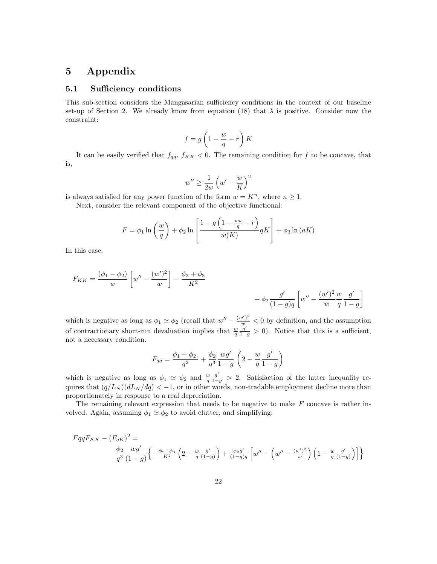### 5 Appendix

#### 5.1 Sufficiency conditions

This sub-section considers the Mangasarian sufficiency conditions in the context of our baseline set-up of Section 2. We already know from equation (18) that  $\lambda$  is positive. Consider now the constraint:

$$
f=g\left(1-\frac{w}{q}-\bar{r}\right)K
$$

It can be easily verified that  $f_{qq}$ ,  $f_{KK}$  < 0. The remaining condition for f to be concave, that is,

$$
w'' \ge \frac{1}{2w} \left( w' - \frac{w}{K} \right)^2
$$

is always satisfied for any power function of the form  $w = K<sup>n</sup>$ , where  $n \ge 1$ .

Next, consider the relevant component of the objective functional:

$$
F = \phi_1 \ln\left(\frac{w}{q}\right) + \phi_2 \ln\left[\frac{1 - g\left(1 - \frac{wa}{q} - \overline{r}\right)}{w(K)} qK\right] + \phi_3 \ln(aK)
$$

In this case,

$$
F_{KK} = \frac{(\phi_1 - \phi_2)}{w} \left[ w'' - \frac{(w')^2}{w} \right] - \frac{\phi_2 + \phi_3}{K^2} + \phi_2 \frac{g'}{(1 - g)q} \left[ w'' - \frac{(w')^2}{w} \frac{w}{q} \frac{g'}{1 - g} \right]
$$

which is negative as long as  $\phi_1 \simeq \phi_2$  (recall that  $w'' - \frac{(w')^2}{w} < 0$  by definition, and the assumption of contractionary short-run devaluation implies that  $\frac{w}{q} \frac{g'}{1-g} > 0$ ). Notice that this is a sufficient, not a necessary condition.

$$
F_{qq} = \frac{\phi_1 - \phi_2.}{q^2} + \frac{\phi_2}{q^3} \frac{wg'}{1 - g} \left(2 - \frac{w}{q} \frac{g'}{1 - g}\right)
$$

which is negative as long as  $\phi_1 \simeq \phi_2$  and  $\frac{w}{q} \frac{g'}{1-g} > 2$ . Satisfaction of the latter inequality requires that  $(q/L_N) (dL_N/dq) < -1$ , or in other words, non-tradable employment decline more than proportionately in response to a real depreciation.

The remaining relevant expression that needs to be negative to make  $F$  concave is rather involved. Again, assuming  $\phi_1 \simeq \phi_2$  to avoid clutter, and simplifying:

$$
FqqF_{KK} - (F_{qK})^2 = \frac{\phi_2}{q^3} \frac{wg'}{(1-g)} \left\{ -\frac{\phi_2 + \phi_3}{K^2} \left( 2 - \frac{w}{q} \frac{g'}{(1-g)} \right) + \frac{\phi_2 g'}{(1-g)q} \left[ w'' - \left( w'' - \frac{(w')^2}{w} \right) \left( 1 - \frac{w}{q} \frac{g'}{(1-g)} \right) \right] \right\}
$$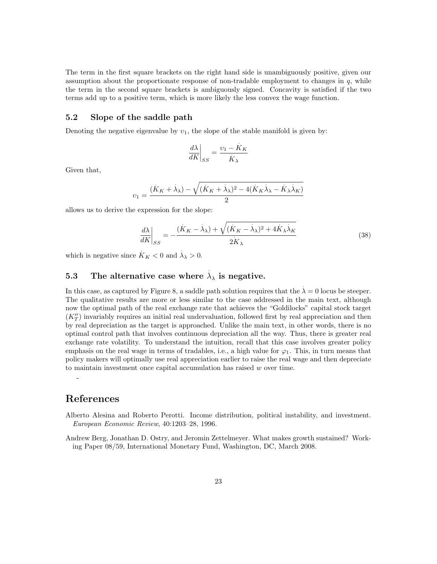The term in the first square brackets on the right hand side is unambiguously positive, given our assumption about the proportionate response of non-tradable employment to changes in  $q$ , while the term in the second square brackets is ambiguously signed. Concavity is satisfied if the two terms add up to a positive term, which is more likely the less convex the wage function.

### 5.2 Slope of the saddle path

Denoting the negative eigenvalue by  $v_1$ , the slope of the stable manifold is given by:

$$
\left. \frac{d\lambda}{dK} \right|_{SS} = \frac{v_1 - \dot{K}_K}{K_\lambda}
$$

Given that,

$$
v_1 = \frac{(\dot{K}_K + \dot{\lambda}_\lambda) - \sqrt{(\dot{K}_K + \dot{\lambda}_\lambda)^2 - 4(\dot{K}_K\dot{\lambda}_\lambda - \dot{K}_\lambda\dot{\lambda}_K)}}{2}
$$

allows us to derive the expression for the slope:

$$
\left. \frac{d\lambda}{dK} \right|_{SS} = -\frac{(\dot{K}_K - \dot{\lambda}_\lambda) + \sqrt{(\dot{K}_K - \dot{\lambda}_\lambda)^2 + 4\dot{K}_\lambda \dot{\lambda}_K}}{2K_\lambda} \tag{38}
$$

which is negative since  $K_K < 0$  and  $\lambda_{\lambda} > 0$ .

# 5.3 The alternative case where  $\lambda_{\lambda}$  is negative.

In this case, as captured by Figure 8, a saddle path solution requires that the  $\lambda = 0$  locus be steeper. The qualitative results are more or less similar to the case addressed in the main text, although now the optimal path of the real exchange rate that achieves the "Goldilocks" capital stock target  $(K_T'')$  invariably requires an initial real undervaluation, followed first by real appreciation and then by real depreciation as the target is approached. Unlike the main text, in other words, there is no optimal control path that involves continuous depreciation all the way. Thus, there is greater real exchange rate volatility. To understand the intuition, recall that this case involves greater policy emphasis on the real wage in terms of tradables, i.e., a high value for  $\varphi_1$ . This, in turn means that policy makers will optimally use real appreciation earlier to raise the real wage and then depreciate to maintain investment once capital accumulation has raised  $w$  over time.

### References

 $\frac{1}{2}$ 

Alberto Alesina and Roberto Perotti. Income distribution, political instability, and investment. European Economic Review, 40:1203–28, 1996.

Andrew Berg, Jonathan D. Ostry, and Jeromin Zettelmeyer. What makes growth sustained? Working Paper 08/59, International Monetary Fund, Washington, DC, March 2008.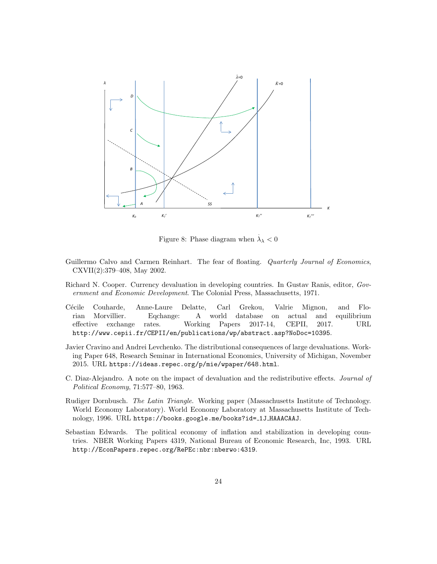

Figure 8: Phase diagram when  $\dot{\lambda}_{\lambda} < 0$ 

- Guillermo Calvo and Carmen Reinhart. The fear of floating. Quarterly Journal of Economics, CXVII(2):379–408, May 2002.
- Richard N. Cooper. Currency devaluation in developing countries. In Gustav Ranis, editor, Government and Economic Development. The Colonial Press, Massachusetts, 1971.
- Cécile Couharde, Anne-Laure Delatte, Carl Grekou, Valrie Mignon, and Florian Morvillier. Eqchange: A world database on actual and equilibrium effective exchange rates. Working Papers 2017-14, CEPII, 2017. URL http://www.cepii.fr/CEPII/en/publications/wp/abstract.asp?NoDoc=10395.
- Javier Cravino and Andrei Levchenko. The distributional consequences of large devaluations. Working Paper 648, Research Seminar in International Economics, University of Michigan, November 2015. URL https://ideas.repec.org/p/mie/wpaper/648.html.
- C. Diaz-Alejandro. A note on the impact of devaluation and the redistributive effects. Journal of Political Economy, 71:577–80, 1963.
- Rudiger Dornbusch. The Latin Triangle. Working paper (Massachusetts Institute of Technology. World Economy Laboratory). World Economy Laboratory at Massachusetts Institute of Technology, 1996. URL https://books.google.me/books?id= 1J HAAACAAJ.
- Sebastian Edwards. The political economy of inflation and stabilization in developing countries. NBER Working Papers 4319, National Bureau of Economic Research, Inc, 1993. URL http://EconPapers.repec.org/RePEc:nbr:nberwo:4319.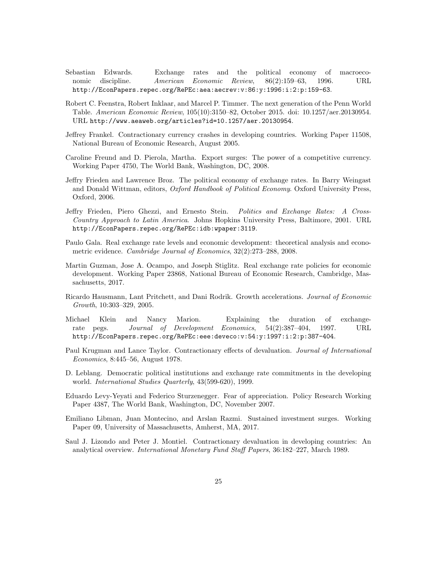- Sebastian Edwards. Exchange rates and the political economy of macroeconomic discipline. American Economic Review, 86(2):159–63, 1996. URL http://EconPapers.repec.org/RePEc:aea:aecrev:v:86:y:1996:i:2:p:159-63.
- Robert C. Feenstra, Robert Inklaar, and Marcel P. Timmer. The next generation of the Penn World Table. American Economic Review, 105(10):3150–82, October 2015. doi: 10.1257/aer.20130954. URL http://www.aeaweb.org/articles?id=10.1257/aer.20130954.
- Jeffrey Frankel. Contractionary currency crashes in developing countries. Working Paper 11508, National Bureau of Economic Research, August 2005.
- Caroline Freund and D. Pierola, Martha. Export surges: The power of a competitive currency. Working Paper 4750, The World Bank, Washington, DC, 2008.
- Jeffry Frieden and Lawrence Broz. The political economy of exchange rates. In Barry Weingast and Donald Wittman, editors, Oxford Handbook of Political Economy. Oxford University Press, Oxford, 2006.
- Jeffry Frieden, Piero Ghezzi, and Ernesto Stein. Politics and Exchange Rates: A Cross-Country Approach to Latin America. Johns Hopkins University Press, Baltimore, 2001. URL http://EconPapers.repec.org/RePEc:idb:wpaper:3119.
- Paulo Gala. Real exchange rate levels and economic development: theoretical analysis and econometric evidence. *Cambridge Journal of Economics*,  $32(2):273-288$ , 2008.
- Martin Guzman, Jose A. Ocampo, and Joseph Stiglitz. Real exchange rate policies for economic development. Working Paper 23868, National Bureau of Economic Research, Cambridge, Massachusetts, 2017.
- Ricardo Hausmann, Lant Pritchett, and Dani Rodrik. Growth accelerations. Journal of Economic Growth, 10:303–329, 2005.
- Michael Klein and Nancy Marion. Explaining the duration of exchangerate pegs. Journal of Development Economics, 54(2):387–404, 1997. URL http://EconPapers.repec.org/RePEc:eee:deveco:v:54:y:1997:i:2:p:387-404.
- Paul Krugman and Lance Taylor. Contractionary effects of devaluation. Journal of International Economics, 8:445–56, August 1978.
- D. Leblang. Democratic political institutions and exchange rate commitments in the developing world. *International Studies Quarterly*, 43(599-620), 1999.
- Eduardo Levy-Yeyati and Federico Sturzenegger. Fear of appreciation. Policy Research Working Paper 4387, The World Bank, Washington, DC, November 2007.
- Emiliano Libman, Juan Montecino, and Arslan Razmi. Sustained investment surges. Working Paper 09, University of Massachusetts, Amherst, MA, 2017.
- Saul J. Lizondo and Peter J. Montiel. Contractionary devaluation in developing countries: An analytical overview. International Monetary Fund Staff Papers, 36:182–227, March 1989.